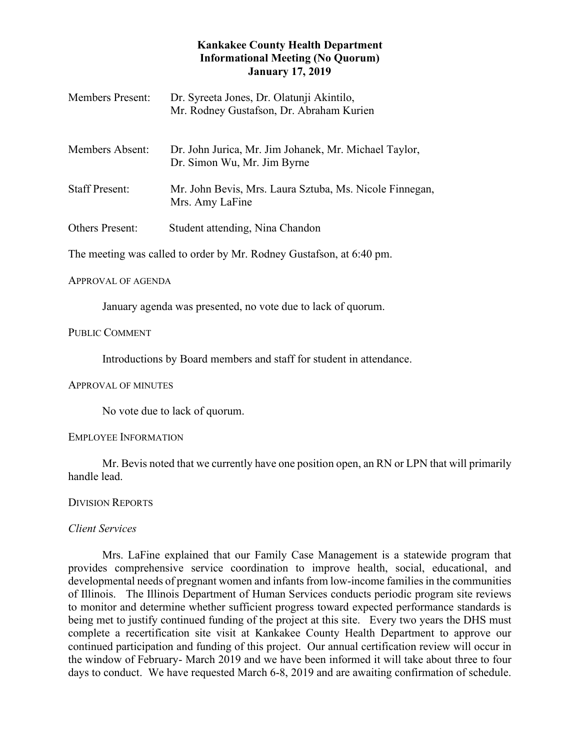# **Kankakee County Health Department Informational Meeting (No Quorum) January 17, 2019**

| <b>Members Present:</b> | Dr. Syreeta Jones, Dr. Olatunji Akintilo,<br>Mr. Rodney Gustafson, Dr. Abraham Kurien |
|-------------------------|---------------------------------------------------------------------------------------|
| Members Absent:         | Dr. John Jurica, Mr. Jim Johanek, Mr. Michael Taylor,<br>Dr. Simon Wu, Mr. Jim Byrne  |
| <b>Staff Present:</b>   | Mr. John Bevis, Mrs. Laura Sztuba, Ms. Nicole Finnegan,<br>Mrs. Amy LaFine            |
| <b>Others Present:</b>  | Student attending, Nina Chandon                                                       |
|                         | The meeting was called to order by Mr. Rodney Gustafson, at 6:40 pm.                  |

### APPROVAL OF AGENDA

January agenda was presented, no vote due to lack of quorum.

# PUBLIC COMMENT

Introductions by Board members and staff for student in attendance.

# APPROVAL OF MINUTES

No vote due to lack of quorum.

# EMPLOYEE INFORMATION

Mr. Bevis noted that we currently have one position open, an RN or LPN that will primarily handle lead.

# DIVISION REPORTS

# *Client Services*

Mrs. LaFine explained that our Family Case Management is a statewide program that provides comprehensive service coordination to improve health, social, educational, and developmental needs of pregnant women and infants from low-income families in the communities of Illinois. The Illinois Department of Human Services conducts periodic program site reviews to monitor and determine whether sufficient progress toward expected performance standards is being met to justify continued funding of the project at this site. Every two years the DHS must complete a recertification site visit at Kankakee County Health Department to approve our continued participation and funding of this project. Our annual certification review will occur in the window of February- March 2019 and we have been informed it will take about three to four days to conduct. We have requested March 6-8, 2019 and are awaiting confirmation of schedule.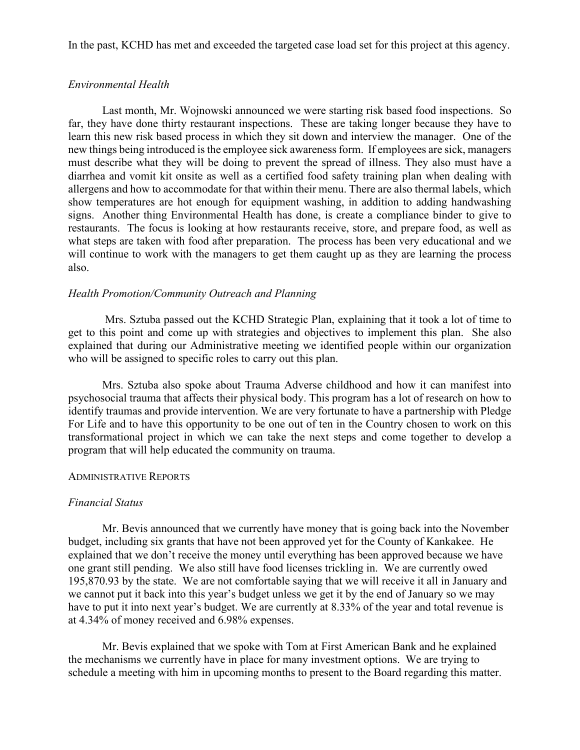In the past, KCHD has met and exceeded the targeted case load set for this project at this agency.

## *Environmental Health*

Last month, Mr. Wojnowski announced we were starting risk based food inspections. So far, they have done thirty restaurant inspections. These are taking longer because they have to learn this new risk based process in which they sit down and interview the manager. One of the new things being introduced is the employee sick awareness form. If employees are sick, managers must describe what they will be doing to prevent the spread of illness. They also must have a diarrhea and vomit kit onsite as well as a certified food safety training plan when dealing with allergens and how to accommodate for that within their menu. There are also thermal labels, which show temperatures are hot enough for equipment washing, in addition to adding handwashing signs. Another thing Environmental Health has done, is create a compliance binder to give to restaurants. The focus is looking at how restaurants receive, store, and prepare food, as well as what steps are taken with food after preparation. The process has been very educational and we will continue to work with the managers to get them caught up as they are learning the process also.

# *Health Promotion/Community Outreach and Planning*

Mrs. Sztuba passed out the KCHD Strategic Plan, explaining that it took a lot of time to get to this point and come up with strategies and objectives to implement this plan. She also explained that during our Administrative meeting we identified people within our organization who will be assigned to specific roles to carry out this plan.

Mrs. Sztuba also spoke about Trauma Adverse childhood and how it can manifest into psychosocial trauma that affects their physical body. This program has a lot of research on how to identify traumas and provide intervention. We are very fortunate to have a partnership with Pledge For Life and to have this opportunity to be one out of ten in the Country chosen to work on this transformational project in which we can take the next steps and come together to develop a program that will help educated the community on trauma.

### ADMINISTRATIVE REPORTS

## *Financial Status*

Mr. Bevis announced that we currently have money that is going back into the November budget, including six grants that have not been approved yet for the County of Kankakee. He explained that we don't receive the money until everything has been approved because we have one grant still pending. We also still have food licenses trickling in. We are currently owed 195,870.93 by the state. We are not comfortable saying that we will receive it all in January and we cannot put it back into this year's budget unless we get it by the end of January so we may have to put it into next year's budget. We are currently at 8.33% of the year and total revenue is at 4.34% of money received and 6.98% expenses.

Mr. Bevis explained that we spoke with Tom at First American Bank and he explained the mechanisms we currently have in place for many investment options. We are trying to schedule a meeting with him in upcoming months to present to the Board regarding this matter.